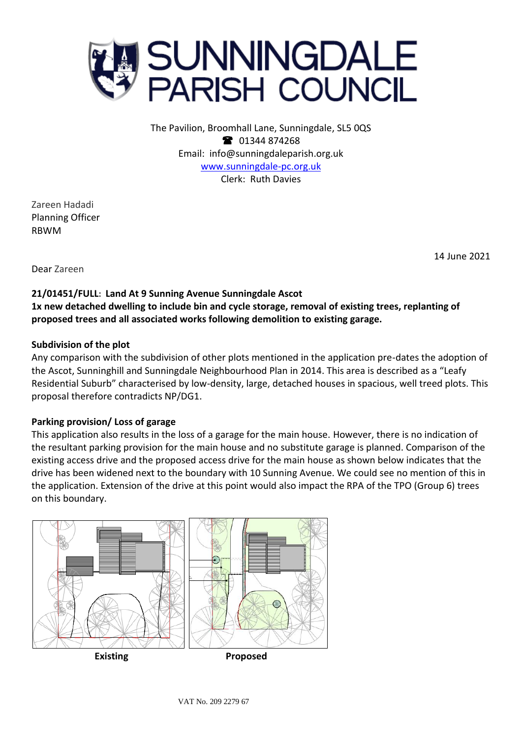

The Pavilion, Broomhall Lane, Sunningdale, SL5 0QS <sup>3</sup> 01344 874268 Email: info@sunningdaleparish.org.uk [www.sunningdale-pc.org.uk](http://www.sunningdale-pc.org.uk/) Clerk: Ruth Davies

Zareen Hadadi Planning Officer RBWM

14 June 2021

Dear Zareen

## **21/01451/FULL: Land At 9 Sunning Avenue Sunningdale Ascot 1x new detached dwelling to include bin and cycle storage, removal of existing trees, replanting of proposed trees and all associated works following demolition to existing garage.**

## **Subdivision of the plot**

Any comparison with the subdivision of other plots mentioned in the application pre-dates the adoption of the Ascot, Sunninghill and Sunningdale Neighbourhood Plan in 2014. This area is described as a "Leafy Residential Suburb" characterised by low-density, large, detached houses in spacious, well treed plots. This proposal therefore contradicts NP/DG1.

#### **Parking provision/ Loss of garage**

This application also results in the loss of a garage for the main house. However, there is no indication of the resultant parking provision for the main house and no substitute garage is planned. Comparison of the existing access drive and the proposed access drive for the main house as shown below indicates that the drive has been widened next to the boundary with 10 Sunning Avenue. We could see no mention of this in the application. Extension of the drive at this point would also impact the RPA of the TPO (Group 6) trees on this boundary.

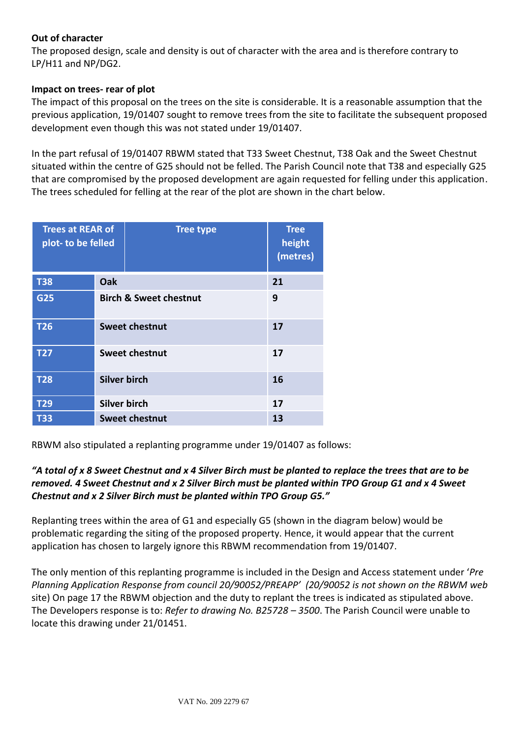## **Out of character**

The proposed design, scale and density is out of character with the area and is therefore contrary to LP/H11 and NP/DG2.

#### **Impact on trees- rear of plot**

The impact of this proposal on the trees on the site is considerable. It is a reasonable assumption that the previous application, 19/01407 sought to remove trees from the site to facilitate the subsequent proposed development even though this was not stated under 19/01407.

In the part refusal of 19/01407 RBWM stated that T33 Sweet Chestnut, T38 Oak and the Sweet Chestnut situated within the centre of G25 should not be felled. The Parish Council note that T38 and especially G25 that are compromised by the proposed development are again requested for felling under this application. The trees scheduled for felling at the rear of the plot are shown in the chart below.

| <b>Trees at REAR of</b><br>plot- to be felled |                       | <b>Tree type</b>                  | <b>Tree</b><br>height<br>(metres) |  |  |
|-----------------------------------------------|-----------------------|-----------------------------------|-----------------------------------|--|--|
| <b>T38</b>                                    | Oak                   |                                   | 21                                |  |  |
| G25                                           |                       | <b>Birch &amp; Sweet chestnut</b> |                                   |  |  |
| <b>T26</b>                                    | <b>Sweet chestnut</b> | 17                                |                                   |  |  |
| <b>T27</b>                                    | <b>Sweet chestnut</b> | 17                                |                                   |  |  |
| <b>T28</b>                                    |                       | <b>Silver birch</b>               |                                   |  |  |
| <b>T29</b>                                    | <b>Silver birch</b>   | 17                                |                                   |  |  |
| <b>T33</b>                                    | <b>Sweet chestnut</b> | 13                                |                                   |  |  |

RBWM also stipulated a replanting programme under 19/01407 as follows:

# *"A total of x 8 Sweet Chestnut and x 4 Silver Birch must be planted to replace the trees that are to be removed. 4 Sweet Chestnut and x 2 Silver Birch must be planted within TPO Group G1 and x 4 Sweet Chestnut and x 2 Silver Birch must be planted within TPO Group G5."*

Replanting trees within the area of G1 and especially G5 (shown in the diagram below) would be problematic regarding the siting of the proposed property. Hence, it would appear that the current application has chosen to largely ignore this RBWM recommendation from 19/01407.

The only mention of this replanting programme is included in the Design and Access statement under '*Pre Planning Application Response from council 20/90052/PREAPP' (20/90052 is not shown on the RBWM web* site) On page 17 the RBWM objection and the duty to replant the trees is indicated as stipulated above. The Developers response is to: *Refer to drawing No. B25728 – 3500*. The Parish Council were unable to locate this drawing under 21/01451.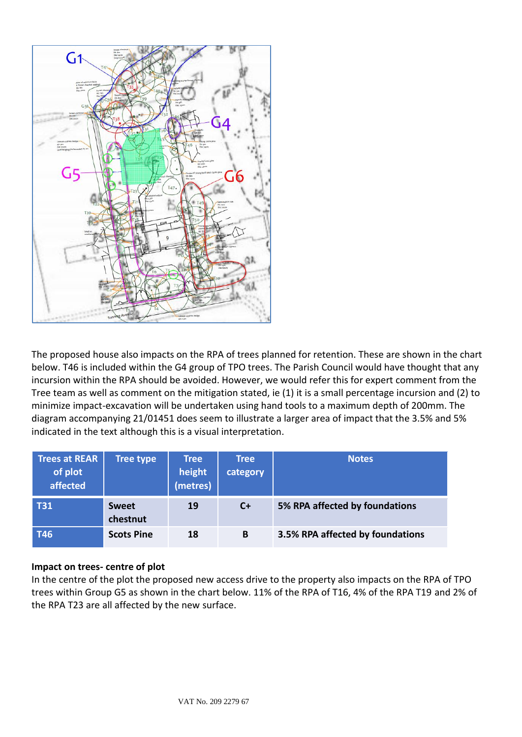

The proposed house also impacts on the RPA of trees planned for retention. These are shown in the chart below. T46 is included within the G4 group of TPO trees. The Parish Council would have thought that any incursion within the RPA should be avoided. However, we would refer this for expert comment from the Tree team as well as comment on the mitigation stated, ie (1) it is a small percentage incursion and (2) to minimize impact-excavation will be undertaken using hand tools to a maximum depth of 200mm. The diagram accompanying 21/01451 does seem to illustrate a larger area of impact that the 3.5% and 5% indicated in the text although this is a visual interpretation.

| Trees at REAR<br>of plot<br>affected | Tree type                | <b>Tree</b><br>height<br>(metres) | Tree<br>category | <b>Notes</b>                     |
|--------------------------------------|--------------------------|-----------------------------------|------------------|----------------------------------|
| <b>T31</b>                           | <b>Sweet</b><br>chestnut | 19                                | $C+$             | 5% RPA affected by foundations   |
| <b>T46</b>                           | <b>Scots Pine</b>        | 18                                | B                | 3.5% RPA affected by foundations |

## **Impact on trees- centre of plot**

In the centre of the plot the proposed new access drive to the property also impacts on the RPA of TPO trees within Group G5 as shown in the chart below. 11% of the RPA of T16, 4% of the RPA T19 and 2% of the RPA T23 are all affected by the new surface.